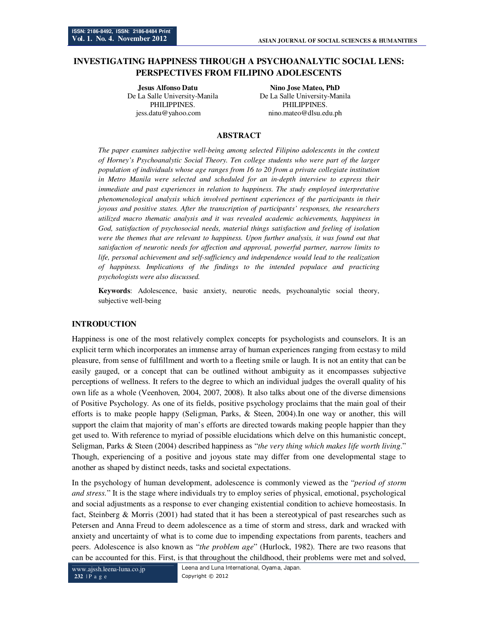# **INVESTIGATING HAPPINESS THROUGH A PSYCHOANALYTIC SOCIAL LENS: PERSPECTIVES FROM FILIPINO ADOLESCENTS**

**Jesus Alfonso Datu Nino Jose Mateo, PhD**  PHILIPPINES. PHILIPPINES. jess.datu@yahoo.com nino.mateo@dlsu.edu.ph

De La Salle University-Manila De La Salle University-Manila

# **ABSTRACT**

*The paper examines subjective well-being among selected Filipino adolescents in the context of Horney's Psychoanalytic Social Theory. Ten college students who were part of the larger population of individuals whose age ranges from 16 to 20 from a private collegiate institution in Metro Manila were selected and scheduled for an in-depth interview to express their immediate and past experiences in relation to happiness. The study employed interpretative phenomenological analysis which involved pertinent experiences of the participants in their joyous and positive states. After the transcription of participants' responses, the researchers utilized macro thematic analysis and it was revealed academic achievements, happiness in God, satisfaction of psychosocial needs, material things satisfaction and feeling of isolation were the themes that are relevant to happiness. Upon further analysis, it was found out that satisfaction of neurotic needs for affection and approval, powerful partner, narrow limits to life, personal achievement and self-sufficiency and independence would lead to the realization of happiness. Implications of the findings to the intended populace and practicing psychologists were also discussed.* 

**Keywords**: Adolescence, basic anxiety, neurotic needs, psychoanalytic social theory, subjective well-being

#### **INTRODUCTION**

Happiness is one of the most relatively complex concepts for psychologists and counselors. It is an explicit term which incorporates an immense array of human experiences ranging from ecstasy to mild pleasure, from sense of fulfillment and worth to a fleeting smile or laugh. It is not an entity that can be easily gauged, or a concept that can be outlined without ambiguity as it encompasses subjective perceptions of wellness. It refers to the degree to which an individual judges the overall quality of his own life as a whole (Veenhoven, 2004, 2007, 2008). It also talks about one of the diverse dimensions of Positive Psychology. As one of its fields, positive psychology proclaims that the main goal of their efforts is to make people happy (Seligman, Parks, & Steen, 2004).In one way or another, this will support the claim that majority of man's efforts are directed towards making people happier than they get used to. With reference to myriad of possible elucidations which delve on this humanistic concept, Seligman, Parks & Steen (2004) described happiness as "*the very thing which makes life worth living*." Though, experiencing of a positive and joyous state may differ from one developmental stage to another as shaped by distinct needs, tasks and societal expectations.

In the psychology of human development, adolescence is commonly viewed as the "*period of storm and stress.*" It is the stage where individuals try to employ series of physical, emotional, psychological and social adjustments as a response to ever changing existential condition to achieve homeostasis. In fact, Steinberg & Morris (2001) had stated that it has been a stereotypical of past researches such as Petersen and Anna Freud to deem adolescence as a time of storm and stress, dark and wracked with anxiety and uncertainty of what is to come due to impending expectations from parents, teachers and peers. Adolescence is also known as "*the problem age*" (Hurlock, 1982). There are two reasons that can be accounted for this. First, is that throughout the childhood, their problems were met and solved,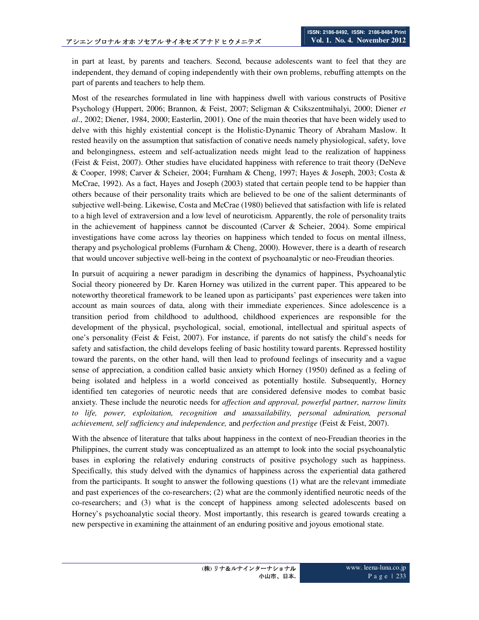in part at least, by parents and teachers. Second, because adolescents want to feel that they are independent, they demand of coping independently with their own problems, rebuffing attempts on the part of parents and teachers to help them.

Most of the researches formulated in line with happiness dwell with various constructs of Positive Psychology (Huppert, 2006; Brannon, & Feist, 2007; Seligman & Csikszentmihalyi, 2000; Diener *et al*., 2002; Diener, 1984, 2000; Easterlin, 2001). One of the main theories that have been widely used to delve with this highly existential concept is the Holistic-Dynamic Theory of Abraham Maslow. It rested heavily on the assumption that satisfaction of conative needs namely physiological, safety, love and belongingness, esteem and self-actualization needs might lead to the realization of happiness (Feist & Feist, 2007). Other studies have elucidated happiness with reference to trait theory (DeNeve & Cooper, 1998; Carver & Scheier, 2004; Furnham & Cheng, 1997; Hayes & Joseph, 2003; Costa & McCrae, 1992). As a fact, Hayes and Joseph (2003) stated that certain people tend to be happier than others because of their personality traits which are believed to be one of the salient determinants of subjective well-being. Likewise, Costa and McCrae (1980) believed that satisfaction with life is related to a high level of extraversion and a low level of neuroticism. Apparently, the role of personality traits in the achievement of happiness cannot be discounted (Carver & Scheier, 2004). Some empirical investigations have come across lay theories on happiness which tended to focus on mental illness, therapy and psychological problems (Furnham & Cheng, 2000). However, there is a dearth of research that would uncover subjective well-being in the context of psychoanalytic or neo-Freudian theories.

In pursuit of acquiring a newer paradigm in describing the dynamics of happiness, Psychoanalytic Social theory pioneered by Dr. Karen Horney was utilized in the current paper. This appeared to be noteworthy theoretical framework to be leaned upon as participants' past experiences were taken into account as main sources of data, along with their immediate experiences. Since adolescence is a transition period from childhood to adulthood, childhood experiences are responsible for the development of the physical, psychological, social, emotional, intellectual and spiritual aspects of one's personality (Feist & Feist, 2007). For instance, if parents do not satisfy the child's needs for safety and satisfaction, the child develops feeling of basic hostility toward parents. Repressed hostility toward the parents, on the other hand, will then lead to profound feelings of insecurity and a vague sense of appreciation, a condition called basic anxiety which Horney (1950) defined as a feeling of being isolated and helpless in a world conceived as potentially hostile. Subsequently, Horney identified ten categories of neurotic needs that are considered defensive modes to combat basic anxiety. These include the neurotic needs for *affection and approval, powerful partner, narrow limits to life, power, exploitation, recognition and unassailability, personal admiration, personal achievement, self sufficiency and independence,* and *perfection and prestige* (Feist & Feist, 2007).

With the absence of literature that talks about happiness in the context of neo-Freudian theories in the Philippines, the current study was conceptualized as an attempt to look into the social psychoanalytic bases in exploring the relatively enduring constructs of positive psychology such as happiness. Specifically, this study delved with the dynamics of happiness across the experiential data gathered from the participants. It sought to answer the following questions (1) what are the relevant immediate and past experiences of the co-researchers; (2) what are the commonly identified neurotic needs of the co-researchers; and (3) what is the concept of happiness among selected adolescents based on Horney's psychoanalytic social theory. Most importantly, this research is geared towards creating a new perspective in examining the attainment of an enduring positive and joyous emotional state.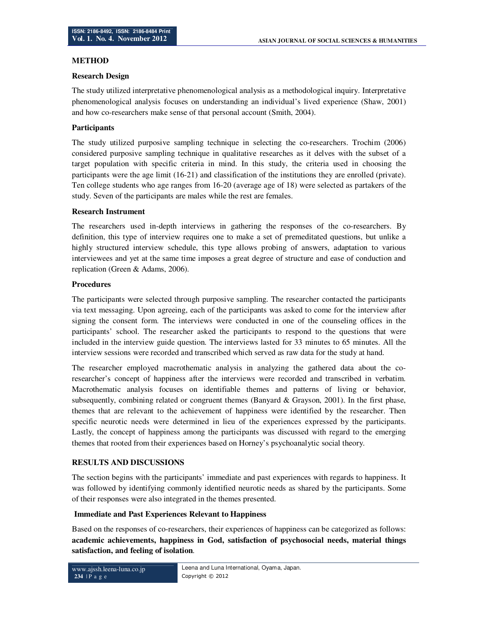# **METHOD**

#### **Research Design**

The study utilized interpretative phenomenological analysis as a methodological inquiry. Interpretative phenomenological analysis focuses on understanding an individual's lived experience (Shaw, 2001) and how co-researchers make sense of that personal account (Smith, 2004).

### **Participants**

The study utilized purposive sampling technique in selecting the co-researchers. Trochim (2006) considered purposive sampling technique in qualitative researches as it delves with the subset of a target population with specific criteria in mind. In this study, the criteria used in choosing the participants were the age limit (16-21) and classification of the institutions they are enrolled (private). Ten college students who age ranges from 16-20 (average age of 18) were selected as partakers of the study. Seven of the participants are males while the rest are females.

#### **Research Instrument**

The researchers used in-depth interviews in gathering the responses of the co-researchers. By definition, this type of interview requires one to make a set of premeditated questions, but unlike a highly structured interview schedule, this type allows probing of answers, adaptation to various interviewees and yet at the same time imposes a great degree of structure and ease of conduction and replication (Green & Adams, 2006).

#### **Procedures**

The participants were selected through purposive sampling. The researcher contacted the participants via text messaging. Upon agreeing, each of the participants was asked to come for the interview after signing the consent form. The interviews were conducted in one of the counseling offices in the participants' school. The researcher asked the participants to respond to the questions that were included in the interview guide question. The interviews lasted for 33 minutes to 65 minutes. All the interview sessions were recorded and transcribed which served as raw data for the study at hand.

The researcher employed macrothematic analysis in analyzing the gathered data about the coresearcher's concept of happiness after the interviews were recorded and transcribed in verbatim. Macrothematic analysis focuses on identifiable themes and patterns of living or behavior, subsequently, combining related or congruent themes (Banyard & Grayson, 2001). In the first phase, themes that are relevant to the achievement of happiness were identified by the researcher. Then specific neurotic needs were determined in lieu of the experiences expressed by the participants. Lastly, the concept of happiness among the participants was discussed with regard to the emerging themes that rooted from their experiences based on Horney's psychoanalytic social theory.

# **RESULTS AND DISCUSSIONS**

The section begins with the participants' immediate and past experiences with regards to happiness. It was followed by identifying commonly identified neurotic needs as shared by the participants. Some of their responses were also integrated in the themes presented.

# **Immediate and Past Experiences Relevant to Happiness**

Based on the responses of co-researchers, their experiences of happiness can be categorized as follows: **academic achievements, happiness in God, satisfaction of psychosocial needs, material things satisfaction, and feeling of isolation***.*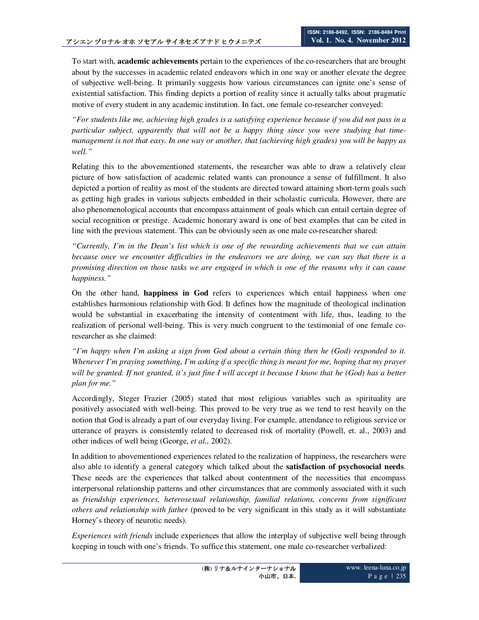To start with, **academic achievements** pertain to the experiences of the co-researchers that are brought about by the successes in academic related endeavors which in one way or another elevate the degree of subjective well-being. It primarily suggests how various circumstances can ignite one's sense of existential satisfaction. This finding depicts a portion of reality since it actually talks about pragmatic motive of every student in any academic institution. In fact, one female co-researcher conveyed:

*"For students like me, achieving high grades is a satisfying experience because if you did not pass in a particular subject, apparently that will not be a happy thing since you were studying but timemanagement is not that easy. In one way or another, that (achieving high grades) you will be happy as well."* 

Relating this to the abovementioned statements, the researcher was able to draw a relatively clear picture of how satisfaction of academic related wants can pronounce a sense of fulfillment. It also depicted a portion of reality as most of the students are directed toward attaining short-term goals such as getting high grades in various subjects embedded in their scholastic curricula. However, there are also phenomenological accounts that encompass attainment of goals which can entail certain degree of social recognition or prestige. Academic honorary award is one of best examples that can be cited in line with the previous statement. This can be obviously seen as one male co-researcher shared:

*"Currently, I'm in the Dean's list which is one of the rewarding achievements that we can attain because once we encounter difficulties in the endeavors we are doing, we can say that there is a promising direction on those tasks we are engaged in which is one of the reasons why it can cause happiness."* 

On the other hand, **happiness in God** refers to experiences which entail happiness when one establishes harmonious relationship with God. It defines how the magnitude of theological inclination would be substantial in exacerbating the intensity of contentment with life, thus, leading to the realization of personal well-being. This is very much congruent to the testimonial of one female coresearcher as she claimed:

*"I'm happy when I'm asking a sign from God about a certain thing then he (God) responded to it. Whenever I'm praying something, I'm asking if a specific thing is meant for me, hoping that my prayer will be granted. If not granted, it's just fine I will accept it because I know that he (God) has a better plan for me."* 

Accordingly, Steger Frazier (2005) stated that most religious variables such as spirituality are positively associated with well-being. This proved to be very true as we tend to rest heavily on the notion that God is already a part of our everyday living. For example, attendance to religious service or utterance of prayers is consistently related to decreased risk of mortality (Powell, et. al., 2003) and other indices of well being (George, *et al.,* 2002).

In addition to abovementioned experiences related to the realization of happiness, the researchers were also able to identify a general category which talked about the **satisfaction of psychosocial needs**. These needs are the experiences that talked about contentment of the necessities that encompass interpersonal relationship patterns and other circumstances that are commonly associated with it such as *friendship experiences, heterosexual relationship, familial relations, concerns from significant others and relationship with father* (proved to be very significant in this study as it will substantiate Horney's theory of neurotic needs).

*Experiences with friends* include experiences that allow the interplay of subjective well being through keeping in touch with one's friends. To suffice this statement, one male co-researcher verbalized: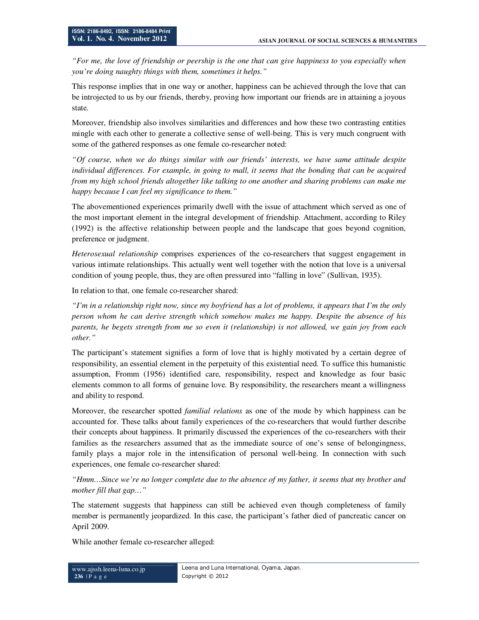*"For me, the love of friendship or peership is the one that can give happiness to you especially when you're doing naughty things with them, sometimes it helps."* 

This response implies that in one way or another, happiness can be achieved through the love that can be introjected to us by our friends, thereby, proving how important our friends are in attaining a joyous state.

Moreover, friendship also involves similarities and differences and how these two contrasting entities mingle with each other to generate a collective sense of well-being. This is very much congruent with some of the gathered responses as one female co-researcher noted:

*"Of course, when we do things similar with our friends' interests, we have same attitude despite individual differences. For example, in going to mall, it seems that the bonding that can be acquired from my high school friends altogether like talking to one another and sharing problems can make me happy because I can feel my significance to them."* 

The abovementioned experiences primarily dwell with the issue of attachment which served as one of the most important element in the integral development of friendship. Attachment, according to Riley (1992) is the affective relationship between people and the landscape that goes beyond cognition, preference or judgment.

*Heterosexual relationship* comprises experiences of the co-researchers that suggest engagement in various intimate relationships. This actually went well together with the notion that love is a universal condition of young people, thus, they are often pressured into "falling in love" (Sullivan, 1935).

In relation to that, one female co-researcher shared:

*"I'm in a relationship right now, since my boyfriend has a lot of problems, it appears that I'm the only person whom he can derive strength which somehow makes me happy. Despite the absence of his parents, he begets strength from me so even it (relationship) is not allowed, we gain joy from each other."* 

The participant's statement signifies a form of love that is highly motivated by a certain degree of responsibility, an essential element in the perpetuity of this existential need. To suffice this humanistic assumption, Fromm (1956) identified care, responsibility, respect and knowledge as four basic elements common to all forms of genuine love. By responsibility, the researchers meant a willingness and ability to respond.

Moreover, the researcher spotted *familial relations* as one of the mode by which happiness can be accounted for. These talks about family experiences of the co-researchers that would further describe their concepts about happiness. It primarily discussed the experiences of the co-researchers with their families as the researchers assumed that as the immediate source of one's sense of belongingness, family plays a major role in the intensification of personal well-being. In connection with such experiences, one female co-researcher shared:

*"Hmm…Since we're no longer complete due to the absence of my father, it seems that my brother and mother fill that gap…"* 

The statement suggests that happiness can still be achieved even though completeness of family member is permanently jeopardized. In this case, the participant's father died of pancreatic cancer on April 2009.

While another female co-researcher alleged: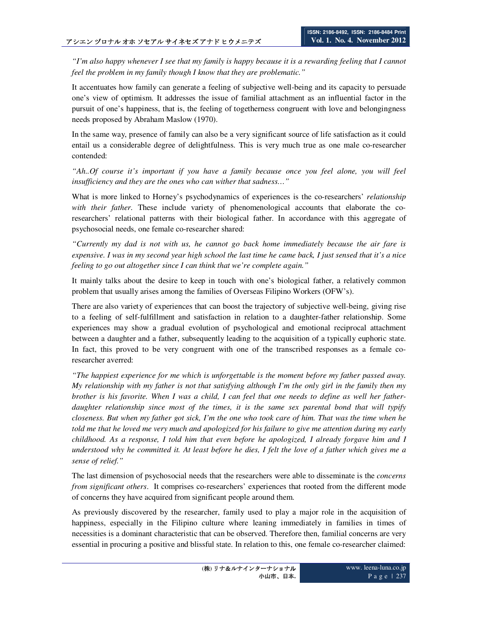*"I'm also happy whenever I see that my family is happy because it is a rewarding feeling that I cannot feel the problem in my family though I know that they are problematic."* 

It accentuates how family can generate a feeling of subjective well-being and its capacity to persuade one's view of optimism. It addresses the issue of familial attachment as an influential factor in the pursuit of one's happiness, that is, the feeling of togetherness congruent with love and belongingness needs proposed by Abraham Maslow (1970).

In the same way, presence of family can also be a very significant source of life satisfaction as it could entail us a considerable degree of delightfulness. This is very much true as one male co-researcher contended:

*"Ah..Of course it's important if you have a family because once you feel alone, you will feel insufficiency and they are the ones who can wither that sadness…"* 

What is more linked to Horney's psychodynamics of experiences is the co-researchers' *relationship with their father*. These include variety of phenomenological accounts that elaborate the coresearchers' relational patterns with their biological father. In accordance with this aggregate of psychosocial needs, one female co-researcher shared:

*"Currently my dad is not with us, he cannot go back home immediately because the air fare is expensive. I was in my second year high school the last time he came back, I just sensed that it's a nice feeling to go out altogether since I can think that we're complete again."* 

It mainly talks about the desire to keep in touch with one's biological father, a relatively common problem that usually arises among the families of Overseas Filipino Workers (OFW's).

There are also variety of experiences that can boost the trajectory of subjective well-being, giving rise to a feeling of self-fulfillment and satisfaction in relation to a daughter-father relationship. Some experiences may show a gradual evolution of psychological and emotional reciprocal attachment between a daughter and a father, subsequently leading to the acquisition of a typically euphoric state. In fact, this proved to be very congruent with one of the transcribed responses as a female coresearcher averred:

*"The happiest experience for me which is unforgettable is the moment before my father passed away. My relationship with my father is not that satisfying although I'm the only girl in the family then my brother is his favorite. When I was a child, I can feel that one needs to define as well her fatherdaughter relationship since most of the times, it is the same sex parental bond that will typify closeness. But when my father got sick, I'm the one who took care of him. That was the time when he told me that he loved me very much and apologized for his failure to give me attention during my early childhood. As a response, I told him that even before he apologized, I already forgave him and I understood why he committed it. At least before he dies, I felt the love of a father which gives me a sense of relief."* 

The last dimension of psychosocial needs that the researchers were able to disseminate is the *concerns from significant others*. It comprises co-researchers' experiences that rooted from the different mode of concerns they have acquired from significant people around them.

As previously discovered by the researcher, family used to play a major role in the acquisition of happiness, especially in the Filipino culture where leaning immediately in families in times of necessities is a dominant characteristic that can be observed. Therefore then, familial concerns are very essential in procuring a positive and blissful state. In relation to this, one female co-researcher claimed: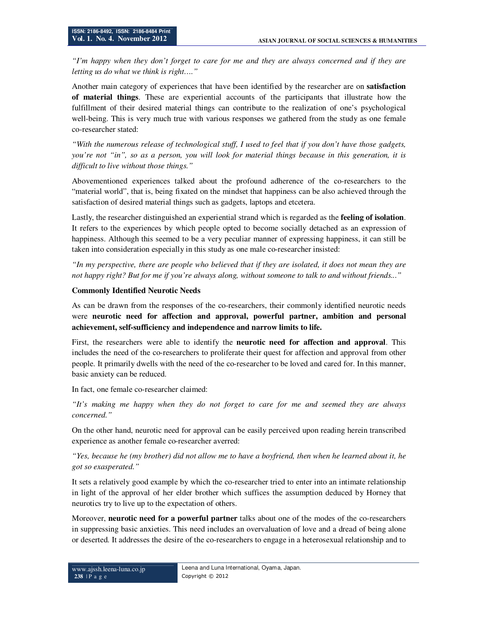*"I'm happy when they don't forget to care for me and they are always concerned and if they are letting us do what we think is right…."* 

Another main category of experiences that have been identified by the researcher are on **satisfaction of material things**. These are experiential accounts of the participants that illustrate how the fulfillment of their desired material things can contribute to the realization of one's psychological well-being. This is very much true with various responses we gathered from the study as one female co-researcher stated:

*"With the numerous release of technological stuff, I used to feel that if you don't have those gadgets, you're not "in", so as a person, you will look for material things because in this generation, it is difficult to live without those things."* 

Abovementioned experiences talked about the profound adherence of the co-researchers to the "material world", that is, being fixated on the mindset that happiness can be also achieved through the satisfaction of desired material things such as gadgets, laptops and etcetera.

Lastly, the researcher distinguished an experiential strand which is regarded as the **feeling of isolation**. It refers to the experiences by which people opted to become socially detached as an expression of happiness. Although this seemed to be a very peculiar manner of expressing happiness, it can still be taken into consideration especially in this study as one male co-researcher insisted:

*"In my perspective, there are people who believed that if they are isolated, it does not mean they are not happy right? But for me if you're always along, without someone to talk to and without friends..."*

#### **Commonly Identified Neurotic Needs**

As can be drawn from the responses of the co-researchers, their commonly identified neurotic needs were **neurotic need for affection and approval, powerful partner, ambition and personal achievement, self-sufficiency and independence and narrow limits to life.**

First, the researchers were able to identify the **neurotic need for affection and approval**. This includes the need of the co-researchers to proliferate their quest for affection and approval from other people. It primarily dwells with the need of the co-researcher to be loved and cared for. In this manner, basic anxiety can be reduced.

In fact, one female co-researcher claimed:

*"It's making me happy when they do not forget to care for me and seemed they are always concerned."* 

On the other hand, neurotic need for approval can be easily perceived upon reading herein transcribed experience as another female co-researcher averred:

*"Yes, because he (my brother) did not allow me to have a boyfriend, then when he learned about it, he got so exasperated."* 

It sets a relatively good example by which the co-researcher tried to enter into an intimate relationship in light of the approval of her elder brother which suffices the assumption deduced by Horney that neurotics try to live up to the expectation of others.

Moreover, **neurotic need for a powerful partner** talks about one of the modes of the co-researchers in suppressing basic anxieties. This need includes an overvaluation of love and a dread of being alone or deserted. It addresses the desire of the co-researchers to engage in a heterosexual relationship and to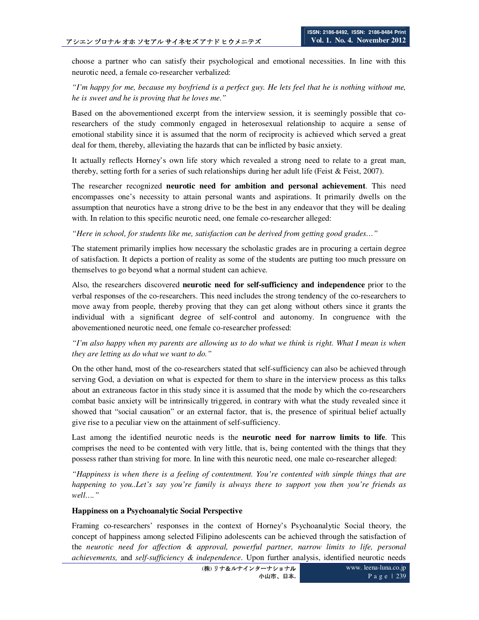choose a partner who can satisfy their psychological and emotional necessities. In line with this neurotic need, a female co-researcher verbalized:

# *"I'm happy for me, because my boyfriend is a perfect guy. He lets feel that he is nothing without me, he is sweet and he is proving that he loves me."*

Based on the abovementioned excerpt from the interview session, it is seemingly possible that coresearchers of the study commonly engaged in heterosexual relationship to acquire a sense of emotional stability since it is assumed that the norm of reciprocity is achieved which served a great deal for them, thereby, alleviating the hazards that can be inflicted by basic anxiety.

It actually reflects Horney's own life story which revealed a strong need to relate to a great man, thereby, setting forth for a series of such relationships during her adult life (Feist & Feist, 2007).

The researcher recognized **neurotic need for ambition and personal achievement**. This need encompasses one's necessity to attain personal wants and aspirations. It primarily dwells on the assumption that neurotics have a strong drive to be the best in any endeavor that they will be dealing with. In relation to this specific neurotic need, one female co-researcher alleged:

*"Here in school, for students like me, satisfaction can be derived from getting good grades…"* 

The statement primarily implies how necessary the scholastic grades are in procuring a certain degree of satisfaction. It depicts a portion of reality as some of the students are putting too much pressure on themselves to go beyond what a normal student can achieve.

Also, the researchers discovered **neurotic need for self-sufficiency and independence** prior to the verbal responses of the co-researchers. This need includes the strong tendency of the co-researchers to move away from people, thereby proving that they can get along without others since it grants the individual with a significant degree of self-control and autonomy. In congruence with the abovementioned neurotic need, one female co-researcher professed:

# *"I'm also happy when my parents are allowing us to do what we think is right. What I mean is when they are letting us do what we want to do."*

On the other hand, most of the co-researchers stated that self-sufficiency can also be achieved through serving God, a deviation on what is expected for them to share in the interview process as this talks about an extraneous factor in this study since it is assumed that the mode by which the co-researchers combat basic anxiety will be intrinsically triggered, in contrary with what the study revealed since it showed that "social causation" or an external factor, that is, the presence of spiritual belief actually give rise to a peculiar view on the attainment of self-sufficiency.

Last among the identified neurotic needs is the **neurotic need for narrow limits to life**. This comprises the need to be contented with very little, that is, being contented with the things that they possess rather than striving for more. In line with this neurotic need, one male co-researcher alleged:

*"Happiness is when there is a feeling of contentment. You're contented with simple things that are happening to you..Let's say you're family is always there to support you then you're friends as well…."* 

#### **Happiness on a Psychoanalytic Social Perspective**

Framing co-researchers' responses in the context of Horney's Psychoanalytic Social theory, the concept of happiness among selected Filipino adolescents can be achieved through the satisfaction of the *neurotic need for affection & approval, powerful partner, narrow limits to life, personal achievements,* and *self-sufficiency & independence*. Upon further analysis, identified neurotic needs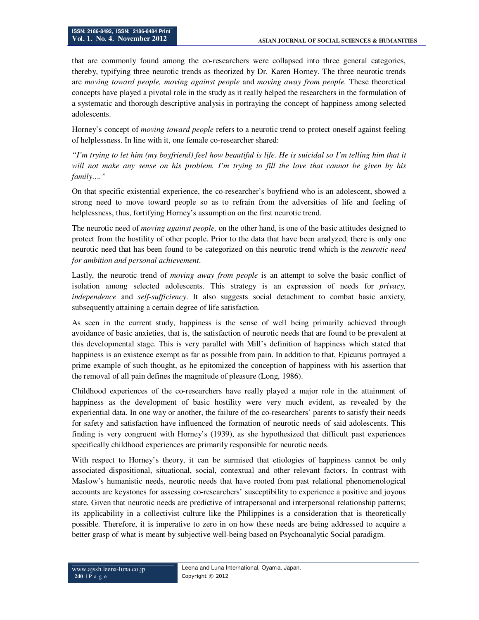that are commonly found among the co-researchers were collapsed into three general categories, thereby, typifying three neurotic trends as theorized by Dr. Karen Horney. The three neurotic trends are *moving toward people, moving against people* and *moving away from people.* These theoretical concepts have played a pivotal role in the study as it really helped the researchers in the formulation of a systematic and thorough descriptive analysis in portraying the concept of happiness among selected adolescents.

Horney's concept of *moving toward people* refers to a neurotic trend to protect oneself against feeling of helplessness. In line with it, one female co-researcher shared:

*"I'm trying to let him (my boyfriend) feel how beautiful is life. He is suicidal so I'm telling him that it will not make any sense on his problem. I'm trying to fill the love that cannot be given by his family…."* 

On that specific existential experience, the co-researcher's boyfriend who is an adolescent, showed a strong need to move toward people so as to refrain from the adversities of life and feeling of helplessness, thus, fortifying Horney's assumption on the first neurotic trend.

The neurotic need of *moving against people,* on the other hand, is one of the basic attitudes designed to protect from the hostility of other people. Prior to the data that have been analyzed, there is only one neurotic need that has been found to be categorized on this neurotic trend which is the *neurotic need for ambition and personal achievement*.

Lastly, the neurotic trend of *moving away from people* is an attempt to solve the basic conflict of isolation among selected adolescents. This strategy is an expression of needs for *privacy, independence* and *self-sufficiency*. It also suggests social detachment to combat basic anxiety, subsequently attaining a certain degree of life satisfaction.

As seen in the current study, happiness is the sense of well being primarily achieved through avoidance of basic anxieties, that is, the satisfaction of neurotic needs that are found to be prevalent at this developmental stage. This is very parallel with Mill's definition of happiness which stated that happiness is an existence exempt as far as possible from pain. In addition to that, Epicurus portrayed a prime example of such thought, as he epitomized the conception of happiness with his assertion that the removal of all pain defines the magnitude of pleasure (Long, 1986).

Childhood experiences of the co-researchers have really played a major role in the attainment of happiness as the development of basic hostility were very much evident, as revealed by the experiential data. In one way or another, the failure of the co-researchers' parents to satisfy their needs for safety and satisfaction have influenced the formation of neurotic needs of said adolescents. This finding is very congruent with Horney's (1939), as she hypothesized that difficult past experiences specifically childhood experiences are primarily responsible for neurotic needs.

With respect to Horney's theory, it can be surmised that etiologies of happiness cannot be only associated dispositional, situational, social, contextual and other relevant factors. In contrast with Maslow's humanistic needs, neurotic needs that have rooted from past relational phenomenological accounts are keystones for assessing co-researchers' susceptibility to experience a positive and joyous state. Given that neurotic needs are predictive of intrapersonal and interpersonal relationship patterns; its applicability in a collectivist culture like the Philippines is a consideration that is theoretically possible. Therefore, it is imperative to zero in on how these needs are being addressed to acquire a better grasp of what is meant by subjective well-being based on Psychoanalytic Social paradigm.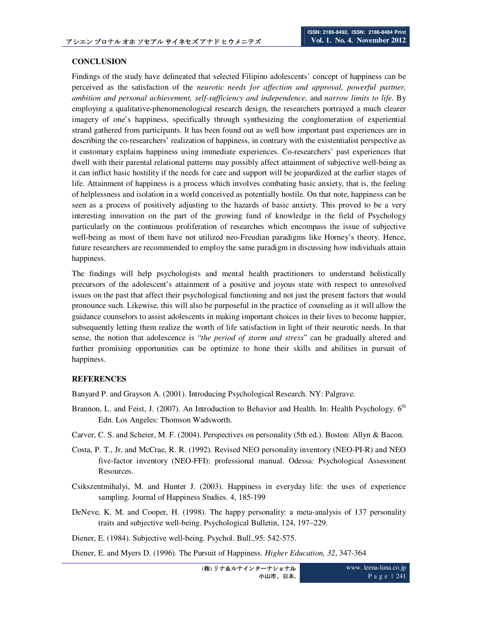#### **CONCLUSION**

Findings of the study have delineated that selected Filipino adolescents' concept of happiness can be perceived as the satisfaction of the *neurotic needs for affection and approval, powerful partner, ambition and personal achievement, self-sufficiency and independence,* and *narrow limits to life*. By employing a qualitative-phenomenological research design, the researchers portrayed a much clearer imagery of one's happiness, specifically through synthesizing the conglomeration of experiential strand gathered from participants. It has been found out as well how important past experiences are in describing the co-researchers' realization of happiness, in contrary with the existentialist perspective as it customary explains happiness using immediate experiences. Co-researchers' past experiences that dwell with their parental relational patterns may possibly affect attainment of subjective well-being as it can inflict basic hostility if the needs for care and support will be jeopardized at the earlier stages of life. Attainment of happiness is a process which involves combating basic anxiety, that is, the feeling of helplessness and isolation in a world conceived as potentially hostile. On that note, happiness can be seen as a process of positively adjusting to the hazards of basic anxiety. This proved to be a very interesting innovation on the part of the growing fund of knowledge in the field of Psychology particularly on the continuous proliferation of researches which encompass the issue of subjective well-being as most of them have not utilized neo-Freudian paradigms like Horney's theory. Hence, future researchers are recommended to employ the same paradigm in discussing how individuals attain happiness.

The findings will help psychologists and mental health practitioners to understand holistically precursors of the adolescent's attainment of a positive and joyous state with respect to unresolved issues on the past that affect their psychological functioning and not just the present factors that would pronounce such. Likewise, this will also be purposeful in the practice of counseling as it will allow the guidance counselors to assist adolescents in making important choices in their lives to become happier, subsequently letting them realize the worth of life satisfaction in light of their neurotic needs. In that sense, the notion that adolescence is "*the period of storm and stress*" can be gradually altered and further promising opportunities can be optimize to hone their skills and abilities in pursuit of happiness.

# **REFERENCES**

Banyard P. and Grayson A. (2001). Introducing Psychological Research. NY: Palgrave.

- Brannon, L. and Feist, J. (2007). An Introduction to Behavior and Health. In: Health Psychology. 6<sup>th</sup> Edn. Los Angeles: Thomson Wadsworth.
- Carver, C. S. and Scheier, M. F. (2004). Perspectives on personality (5th ed.). Boston: Allyn & Bacon.
- Costa, P. T., Jr. and McCrae, R. R. (1992). Revised NEO personality inventory (NEO-PI-R) and NEO five-factor inventory (NEO-FFI): professional manual. Odessa: Psychological Assessment Resources.
- Csikszentmihalyi, M. and Hunter J. (2003). Happiness in everyday life: the uses of experience sampling. Journal of Happiness Studies. 4, 185-199
- DeNeve, K. M. and Cooper, H. (1998). The happy personality: a meta-analysis of 137 personality traits and subjective well-being. Psychological Bulletin, 124, 197–229.

Diener, E. (1984). Subjective well-being. Psychol. Bull.,95: 542-575.

Diener, E. and Myers D. (1996). The Pursuit of Happiness. *Higher Education, 32*, 347-364